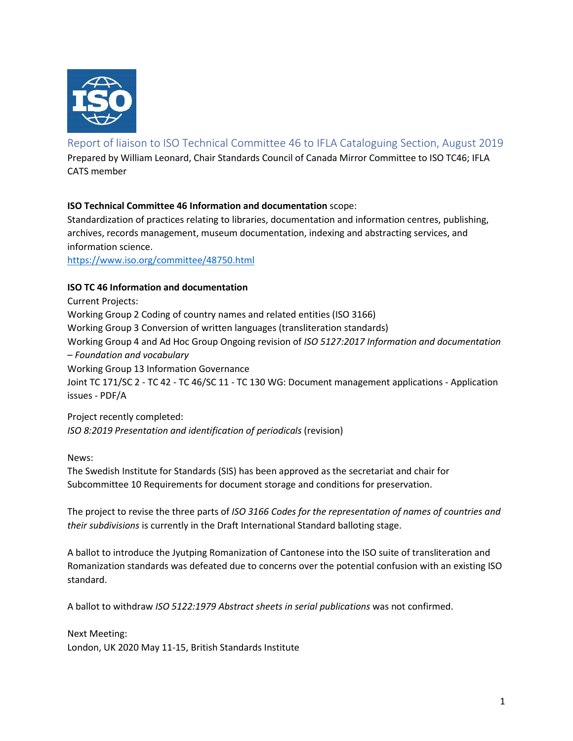

# Report of liaison to ISO Technical Committee 46 to IFLA Cataloguing Section, August 2019

Prepared by William Leonard, Chair Standards Council of Canada Mirror Committee to ISO TC46; IFLA CATS member

# **ISO Technical Committee 46 Information and documentation** scope:

Standardization of practices relating to libraries, documentation and information centres, publishing, archives, records management, museum documentation, indexing and abstracting services, and information science.

https://www.iso.org/committee/48750.html

## **ISO TC 46 Information and documentation**

Current Projects: Working Group 2 Coding of country names and related entities (ISO 3166) Working Group 3 Conversion of written languages (transliteration standards) Working Group 4 and Ad Hoc Group Ongoing revision of *ISO 5127:2017 Information and documentation – Foundation and vocabulary* Working Group 13 Information Governance Joint TC 171/SC 2 - TC 42 - TC 46/SC 11 - TC 130 WG: Document management applications - Application issues - PDF/A

Project recently completed: *ISO 8:2019 Presentation and identification of periodicals* (revision)

News:

The Swedish Institute for Standards (SIS) has been approved as the secretariat and chair for Subcommittee 10 Requirements for document storage and conditions for preservation.

The project to revise the three parts of *ISO 3166 Codes for the representation of names of countries and their subdivisions* is currently in the Draft International Standard balloting stage.

A ballot to introduce the Jyutping Romanization of Cantonese into the ISO suite of transliteration and Romanization standards was defeated due to concerns over the potential confusion with an existing ISO standard.

A ballot to withdraw *ISO 5122:1979 Abstract sheets in serial publications* was not confirmed.

Next Meeting: London, UK 2020 May 11-15, British Standards Institute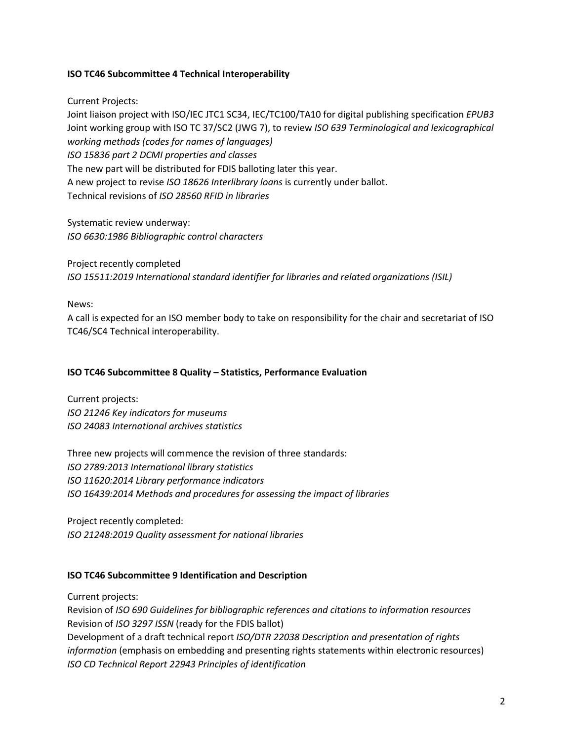#### **ISO TC46 Subcommittee 4 Technical Interoperability**

Current Projects:

Joint liaison project with ISO/IEC JTC1 SC34, IEC/TC100/TA10 for digital publishing specification *EPUB3* Joint working group with ISO TC 37/SC2 (JWG 7), to review *ISO 639 Terminological and lexicographical working methods (codes for names of languages) ISO 15836 part 2 DCMI properties and classes* The new part will be distributed for FDIS balloting later this year. A new project to revise *ISO 18626 Interlibrary loans* is currently under ballot. Technical revisions of *ISO 28560 RFID in libraries*

Systematic review underway: *ISO 6630:1986 Bibliographic control characters*

Project recently completed *ISO 15511:2019 International standard identifier for libraries and related organizations (ISIL)*

News:

A call is expected for an ISO member body to take on responsibility for the chair and secretariat of ISO TC46/SC4 Technical interoperability.

#### **ISO TC46 Subcommittee 8 Quality – Statistics, Performance Evaluation**

Current projects: *ISO 21246 Key indicators for museums ISO 24083 International archives statistics* 

Three new projects will commence the revision of three standards: *ISO 2789:2013 International library statistics ISO 11620:2014 Library performance indicators ISO 16439:2014 Methods and procedures for assessing the impact of libraries*

Project recently completed: *ISO 21248:2019 Quality assessment for national libraries*

#### **ISO TC46 Subcommittee 9 Identification and Description**

Current projects:

Revision of *ISO 690 Guidelines for bibliographic references and citations to information resources* Revision of *ISO 3297 ISSN* (ready for the FDIS ballot) Development of a draft technical report *ISO/DTR 22038 Description and presentation of rights information* (emphasis on embedding and presenting rights statements within electronic resources) *ISO CD Technical Report 22943 Principles of identification*